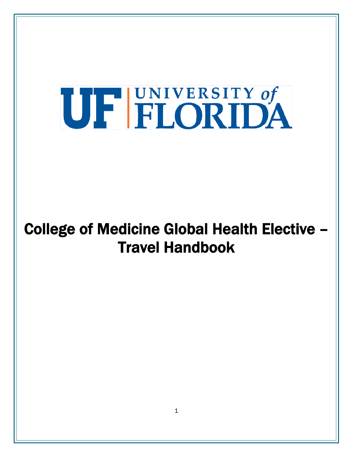# UF FLORIDA

## College of Medicine Global Health Elective – Travel Handbook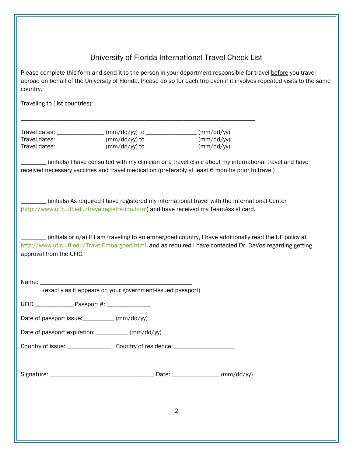University of Florida International Travel Check List

Please complete this form and send it to the person in your department responsible for travel before you travel abroad on behalf of the University of Florida. Please do so for each trip even if it involves repeated visits to the same country.

Traveling to (list countries): \_\_\_\_\_\_\_\_\_\_\_\_\_\_\_\_\_\_\_\_\_\_\_\_\_\_\_\_\_\_\_\_\_\_\_\_\_\_\_\_\_\_\_\_\_\_\_\_\_\_\_\_

| Travel dates: | $\frac{1}{2}$ (mm/dd/yy) to | (mm/dd/yy) |
|---------------|-----------------------------|------------|
| Travel dates: | $\frac{1}{2}$ (mm/dd/yy) to | (mm/dd/yy) |
| Travel dates: | $\frac{m}{d}$ (mm/dd/yy) to | (mm/dd/yy) |

\_\_\_\_\_\_\_\_\_\_\_\_\_\_\_\_\_\_\_\_\_\_\_\_\_\_\_\_\_\_\_\_\_\_\_\_\_\_\_\_\_\_\_\_\_\_\_\_\_\_\_\_\_\_\_\_\_\_\_\_\_\_\_\_\_\_\_\_\_\_\_\_\_\_

(initials) I have consulted with my clinician or a travel clinic about my international travel and have received necessary vaccines and travel medication (preferably at least 6 months prior to travel)

\_\_\_\_\_\_\_\_ (initials) As required I have registered my international travel with the International Center [\(http://www.ufic.ufl.edu/travelregistration.html\)](http://www.ufic.ufl.edu/travelregistration.html) and have received my TeamAssist card*.*

 $\frac{1}{2}$  (initials or n/a) If I am traveling to an embargoed country, I have additionally read the UF policy at [http://www.ufic.ufl.edu/TravelEmbargoed.html,](http://www.ufic.ufl.edu/TravelEmbargoed.html) and as required I have contacted Dr. DeVos regarding getting approval from the UFIC.

Name:

(exactly as it appears on your government-issued passport)

UFID Passport #:

Date of passport issue: \_\_\_\_\_\_\_\_\_ (mm/dd/yy)

Date of passport expiration: \_\_\_\_\_\_\_\_\_ (mm/dd/yy)

Country of issue: Country of residence:

| Signature: |  | $20 - 10$<br>. |
|------------|--|----------------|
|------------|--|----------------|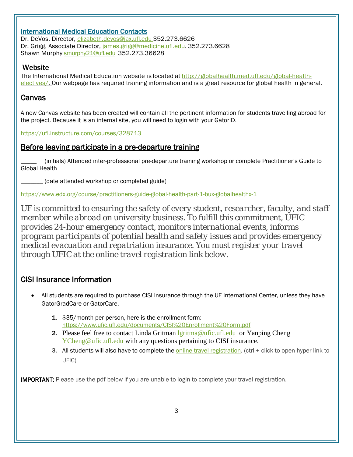#### International Medical Education Contacts

Dr. DeVos, Director, [elizabeth.devos@jax.ufl.edu](mailto:elizabeth.devos@jax.ufl.edu) 352.273.6626 Dr. Grigg, Associate Director, [james.grigg@medicine.ufl.edu.](mailto:james.grigg@medicine.ufl.edu) 352.273.6628 Shawn Murphy smurphy 21@ufl.edu 352.273.36628

#### Website

The International Medical Education website is located at [http://globalhealth.med.ufl.edu/global-health](http://globalhealth.med.ufl.edu/global-health-electives/)[electives/.](http://globalhealth.med.ufl.edu/global-health-electives/) Our webpage has required training information and is a great resource for global health in general.

#### Canvas

A new Canvas website has been created will contain all the pertinent information for students travelling abroad for the project. Because it is an internal site, you will need to login with your GatorID.

<https://ufl.instructure.com/courses/328713>

#### Before leaving participate in a pre-departure training

\_\_\_\_\_ (initials) Attended inter-professional pre-departure training workshop or complete Practitioner's Guide to Global Health

\_\_\_\_\_\_\_ (date attended workshop or completed guide)

<https://www.edx.org/course/practitioners-guide-global-health-part-1-bux-globalhealthx-1>

*UF is committed to ensuring the safety of every student, researcher, faculty, and staff member while abroad on university business. To fulfill this commitment, UFIC provides 24-hour emergency contact, monitors international events, informs program participants of potential health and safety issues and provides emergency medical evacuation and repatriation insurance. You must register your travel through UFIC at the online travel registration link below.*

#### CISI Insurance Information

- All students are required to purchase CISI insurance through the UF International Center, unless they have GatorGradCare or GatorCare.
	- 1. \$35/month per person, here is the enrollment form: <https://www.ufic.ufl.edu/documents/CISI%20Enrollment%20Form.pdf>
	- 2. Please feel free to contact Linda Gritman [lgritma@ufic.ufl.edu](mailto:lgritma@ufic.ufl.edu) or Yanping Cheng [YCheng@ufic.ufl.edu](mailto:YCheng@ufic.ufl.edu) with any questions pertaining to CISI insurance.
	- 3. All students will also have to complete the [online travel registration.](http://www.ufic.ufl.edu/TravelRegistration.html) (ctrl + click to open hyper link to UFIC)

**IMPORTANT:** Please use the pdf below if you are unable to login to complete your travel registration.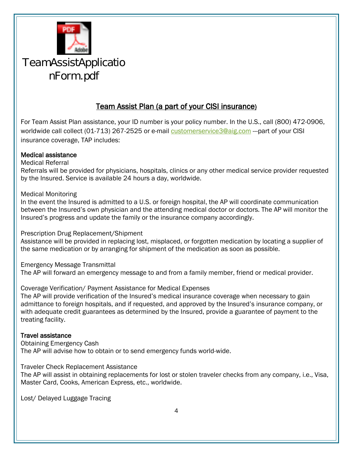

## TeamAssistApplicatio nForm.pdf

#### Team Assist Plan (a part of your CISI insurance)

For Team Assist Plan assistance, your ID number is your policy number. In the U.S., call (800) 472-0906, worldwide call collect (01-713) 267-2525 or e-mail [customerservice3@aig.com](mailto:customerservice3@aig.com) ---part of your CISI insurance coverage, TAP includes:

#### Medical assistance

Medical Referral

Referrals will be provided for physicians, hospitals, clinics or any other medical service provider requested by the Insured. Service is available 24 hours a day, worldwide.

Medical Monitoring

In the event the Insured is admitted to a U.S. or foreign hospital, the AP will coordinate communication between the Insured's own physician and the attending medical doctor or doctors. The AP will monitor the Insured's progress and update the family or the insurance company accordingly.

Prescription Drug Replacement/Shipment

Assistance will be provided in replacing lost, misplaced, or forgotten medication by locating a supplier of the same medication or by arranging for shipment of the medication as soon as possible.

Emergency Message Transmittal

The AP will forward an emergency message to and from a family member, friend or medical provider.

#### Coverage Verification/ Payment Assistance for Medical Expenses

The AP will provide verification of the Insured's medical insurance coverage when necessary to gain admittance to foreign hospitals, and if requested, and approved by the Insured's insurance company, or with adequate credit guarantees as determined by the Insured, provide a guarantee of payment to the treating facility.

#### Travel assistance

Obtaining Emergency Cash The AP will advise how to obtain or to send emergency funds world-wide.

Traveler Check Replacement Assistance

The AP will assist in obtaining replacements for lost or stolen traveler checks from any company, i.e., Visa, Master Card, Cooks, American Express, etc., worldwide.

Lost/ Delayed Luggage Tracing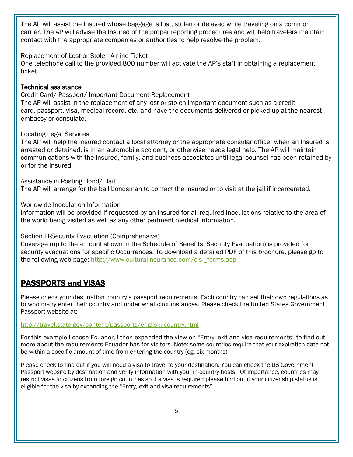The AP will assist the Insured whose baggage is lost, stolen or delayed while traveling on a common carrier. The AP will advise the Insured of the proper reporting procedures and will help travelers maintain contact with the appropriate companies or authorities to help resolve the problem.

Replacement of Lost or Stolen Airline Ticket

One telephone call to the provided 800 number will activate the AP's staff in obtaining a replacement ticket.

#### Technical assistance

Credit Card/ Passport/ Important Document Replacement

The AP will assist in the replacement of any lost or stolen important document such as a credit card, passport, visa, medical record, etc. and have the documents delivered or picked up at the nearest embassy or consulate.

#### Locating Legal Services

The AP will help the Insured contact a local attorney or the appropriate consular officer when an Insured is arrested or detained, is in an automobile accident, or otherwise needs legal help. The AP will maintain communications with the Insured, family, and business associates until legal counsel has been retained by or for the Insured.

#### Assistance in Posting Bond/ Bail

The AP will arrange for the bail bondsman to contact the Insured or to visit at the jail if incarcerated.

#### Worldwide Inoculation Information

Information will be provided if requested by an Insured for all required inoculations relative to the area of the world being visited as well as any other pertinent medical information.

#### Section III-Security Evacuation (Comprehensive)

Coverage (up to the amount shown in the Schedule of Benefits, Security Evacuation) is provided for security evacuations for specific Occurrences. To download a detailed PDF of this brochure, please go to the following web page: [http://www.culturalinsurance.com/cisi\\_forms.asp](http://www.culturalinsurance.com/cisi_forms.asp)

### PASSPORTS and VISAS

Please check your destination country's passport requirements. Each country can set their own regulations as to who many enter their country and under what circumstances. Please check the United States Government Passport website at:

#### <http://travel.state.gov/content/passports/english/country.html>

For this example I chose Ecuador, I then expanded the view on "Entry, exit and visa requirements" to find out more about the requirements Ecuador has for visitors. Note: some countries require that your expiration date not be within a specific amount of time from entering the country (eg, six months)

Please check to find out if you will need a visa to travel to your destination. You can check the US Government Passport website by destination and verify information with your in-country hosts. Of importance, countries may restrict visas to citizens from foreign countries so if a visa is required please find out if your citizenship status is eligible for the visa by expanding the "Entry, exit and visa requirements".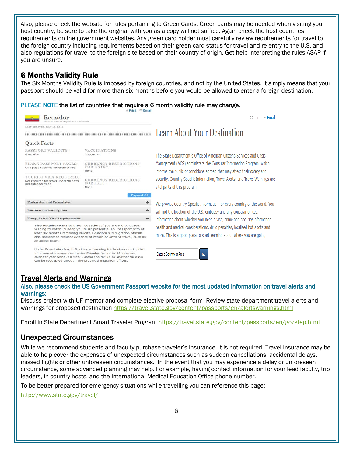Also, please check the website for rules pertaining to Green Cards. Green cards may be needed when visiting your host country, be sure to take the original with you as a copy will not suffice. Again check the host countries requirements on the government websites. Any green card holder must carefully review requirements for travel to the foreign country including requirements based on their green card status for travel and re-entry to the U.S. and also regulations for travel to the foreign site based on their country of origin. Get help interpreting the rules ASAP if you are unsure.

#### 6 Months Validity Rule

The Six Months Validity Rule is imposed by foreign countries, and not by the United States. It simply means that your passport should be valid for more than six months before you would be allowed to enter a foreign destination.

#### PLEASE NOTE the list of countries that require a 6 month validity rule may change.

| Ecuador<br>fficial Name: Republic of Ecuador<br>LAST UPDATED: JULY 16, 2014                                                                                                                                                                                                |                                                                                                                                                                                                                                                                                     | $\Leftrightarrow$ Print $\boxtimes$ Fmail<br>Learn About Your Destination                                                                                                                                                                                                                                                                    |  |
|----------------------------------------------------------------------------------------------------------------------------------------------------------------------------------------------------------------------------------------------------------------------------|-------------------------------------------------------------------------------------------------------------------------------------------------------------------------------------------------------------------------------------------------------------------------------------|----------------------------------------------------------------------------------------------------------------------------------------------------------------------------------------------------------------------------------------------------------------------------------------------------------------------------------------------|--|
|                                                                                                                                                                                                                                                                            |                                                                                                                                                                                                                                                                                     |                                                                                                                                                                                                                                                                                                                                              |  |
| PASSPORT VALIDITY:<br>6 months                                                                                                                                                                                                                                             | VACCINATIONS:<br>Suggested                                                                                                                                                                                                                                                          | The State Department's Office of American Citizens Services and Crisis<br>Management (ACS) administers the Consular Information Program, which<br>informs the public of conditions abroad that may affect their safety and<br>security. Country Specific Information, Travel Alerts, and Travel Warnings are<br>vital parts of this program. |  |
| <b>BLANK PASSPORT PAGES:</b><br>One page required for entry stamp                                                                                                                                                                                                          | <b>CURRENCY RESTRICTIONS</b><br>FOR ENTRY:<br>None                                                                                                                                                                                                                                  |                                                                                                                                                                                                                                                                                                                                              |  |
| TOURIST VISA REQUIRED:<br>Not required for stays under 90 days<br>per calendar year.                                                                                                                                                                                       | <b>CURRENCY RESTRICTIONS</b><br>FOR EXIT:<br>None                                                                                                                                                                                                                                   |                                                                                                                                                                                                                                                                                                                                              |  |
| <b>Embassies and Consulates</b>                                                                                                                                                                                                                                            | <b>Expand All</b>                                                                                                                                                                                                                                                                   |                                                                                                                                                                                                                                                                                                                                              |  |
| $\div$                                                                                                                                                                                                                                                                     |                                                                                                                                                                                                                                                                                     | We provide Country Specific Information for every country of the world. You                                                                                                                                                                                                                                                                  |  |
| <b>Destination Description</b><br>$\div$<br><b>Entry, Exit &amp; Visa Requirements</b>                                                                                                                                                                                     |                                                                                                                                                                                                                                                                                     | will find the location of the U.S. embassy and any consular offices,                                                                                                                                                                                                                                                                         |  |
| an airline ticket.                                                                                                                                                                                                                                                         | Visa Requirements to Enter Ecuador: If you are a U.S. citizen<br>wishing to enter Ecuador, you must present a U.S. passport with at<br>least six months remaining validity. Ecuadorian immigration officials<br>also sometimes request evidence of return or onward travel, such as | information about whether you need a visa, crime and security information,<br>health and medical considerations, drug penalties, localized hot spots and<br>more. This is a good place to start learning about where you are going.                                                                                                          |  |
| Under Ecuadorian law, U.S. citizens traveling for business or tourism<br>on a tourist passport can enter Ecuador for up to 90 days per<br>calendar year without a visa. Extensions for up to another 90 days<br>can be requested through the provincial migration offices. |                                                                                                                                                                                                                                                                                     | Enter a Country or Area<br>G <sub>0</sub>                                                                                                                                                                                                                                                                                                    |  |

Travel Alerts and Warnings<br>Also, please check the US Government Passport website for the most updated information on travel alerts and warnings:

Discuss project with UF mentor and complete elective proposal form -Review state department travel alerts and warnings for proposed destination<https://travel.state.gov/content/passports/en/alertswarnings.html>

Enroll in State Department Smart Traveler Program<https://travel.state.gov/content/passports/en/go/step.html>

#### Unexpected Circumstances

While we recommend students and faculty purchase traveler's insurance, it is not required. Travel insurance may be able to help cover the expenses of unexpected circumstances such as sudden cancellations, accidental delays, missed flights or other unforeseen circumstances. In the event that you may experience a delay or unforeseen circumstance, some advanced planning may help. For example, having contact information for your lead faculty, trip leaders, in-country hosts, and the International Medical Education Office phone number.

To be better prepared for emergency situations while travelling you can reference this page:

<http://www.state.gov/travel/>